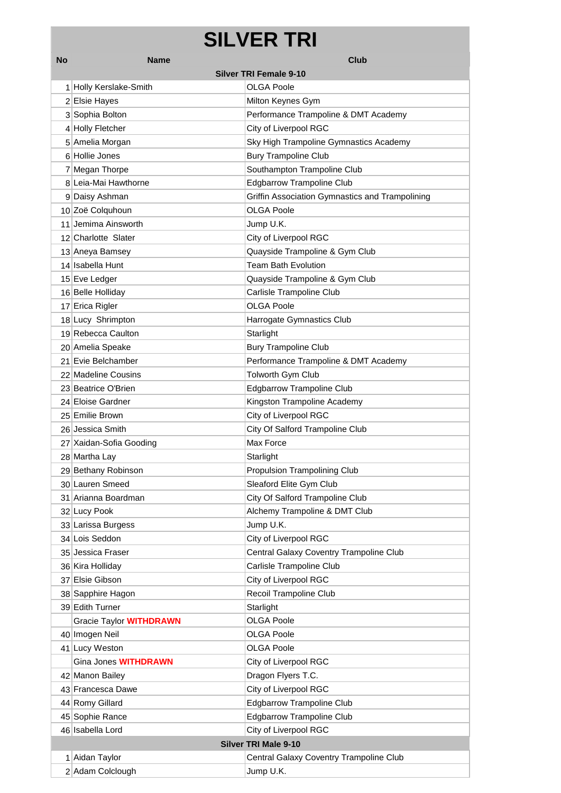# **SILVER TRI**

| No | <b>Name</b>                    | Club                                            |  |
|----|--------------------------------|-------------------------------------------------|--|
|    |                                | <b>Silver TRI Female 9-10</b>                   |  |
|    | 1 Holly Kerslake-Smith         | OLGA Poole                                      |  |
|    | 2 Elsie Hayes                  | Milton Keynes Gym                               |  |
|    | 3 Sophia Bolton                | Performance Trampoline & DMT Academy            |  |
|    | 4 Holly Fletcher               | City of Liverpool RGC                           |  |
|    | 5 Amelia Morgan                | Sky High Trampoline Gymnastics Academy          |  |
|    | 6 Hollie Jones                 | <b>Bury Trampoline Club</b>                     |  |
|    | 7 Megan Thorpe                 | Southampton Trampoline Club                     |  |
|    | 8 Leia-Mai Hawthorne           | <b>Edgbarrow Trampoline Club</b>                |  |
|    | 9 Daisy Ashman                 | Griffin Association Gymnastics and Trampolining |  |
|    | 10 Zoë Colquhoun               | OLGA Poole                                      |  |
|    | 11 Jemima Ainsworth            | Jump U.K.                                       |  |
|    | 12 Charlotte Slater            | City of Liverpool RGC                           |  |
|    | 13 Aneya Bamsey                | Quayside Trampoline & Gym Club                  |  |
|    | 14 Isabella Hunt               | <b>Team Bath Evolution</b>                      |  |
|    | 15 Eve Ledger                  | Quayside Trampoline & Gym Club                  |  |
|    | 16 Belle Holliday              | Carlisle Trampoline Club                        |  |
|    | 17 Erica Rigler                | <b>OLGA Poole</b>                               |  |
|    | 18 Lucy Shrimpton              | Harrogate Gymnastics Club                       |  |
|    | 19 Rebecca Caulton             | Starlight                                       |  |
|    | 20 Amelia Speake               | <b>Bury Trampoline Club</b>                     |  |
|    | 21 Evie Belchamber             | Performance Trampoline & DMT Academy            |  |
|    | 22 Madeline Cousins            | Tolworth Gym Club                               |  |
|    | 23 Beatrice O'Brien            | <b>Edgbarrow Trampoline Club</b>                |  |
|    | 24 Eloise Gardner              | Kingston Trampoline Academy                     |  |
|    | 25 Emilie Brown                | City of Liverpool RGC                           |  |
|    | 26 Jessica Smith               | City Of Salford Trampoline Club                 |  |
|    | 27 Xaidan-Sofia Gooding        | Max Force                                       |  |
|    | 28 Martha Lay                  | Starlight                                       |  |
|    | 29 Bethany Robinson            | <b>Propulsion Trampolining Club</b>             |  |
|    | 30 Lauren Smeed                | Sleaford Elite Gym Club                         |  |
|    | 31 Arianna Boardman            | City Of Salford Trampoline Club                 |  |
|    | 32 Lucy Pook                   | Alchemy Trampoline & DMT Club                   |  |
|    | 33 Larissa Burgess             | Jump U.K.                                       |  |
|    | 34 Lois Seddon                 | City of Liverpool RGC                           |  |
|    | 35 Jessica Fraser              | Central Galaxy Coventry Trampoline Club         |  |
|    | 36 Kira Holliday               | Carlisle Trampoline Club                        |  |
|    | 37 Elsie Gibson                | City of Liverpool RGC                           |  |
|    | 38 Sapphire Hagon              | Recoil Trampoline Club                          |  |
|    | 39 Edith Turner                | Starlight                                       |  |
|    | Gracie Taylor <b>WITHDRAWN</b> | <b>OLGA Poole</b>                               |  |
|    | 40 Imogen Neil                 | <b>OLGA Poole</b>                               |  |
|    | 41 Lucy Weston                 | <b>OLGA Poole</b>                               |  |
|    | Gina Jones WITHDRAWN           | City of Liverpool RGC                           |  |
|    | 42 Manon Bailey                | Dragon Flyers T.C.                              |  |
|    | 43 Francesca Dawe              | City of Liverpool RGC                           |  |
|    | 44 Romy Gillard                | <b>Edgbarrow Trampoline Club</b>                |  |
|    | 45 Sophie Rance                | <b>Edgbarrow Trampoline Club</b>                |  |
|    | 46 Isabella Lord               | City of Liverpool RGC                           |  |
|    | <b>Silver TRI Male 9-10</b>    |                                                 |  |
|    | 1 Aidan Taylor                 | Central Galaxy Coventry Trampoline Club         |  |
|    | 2 Adam Colclough               | Jump U.K.                                       |  |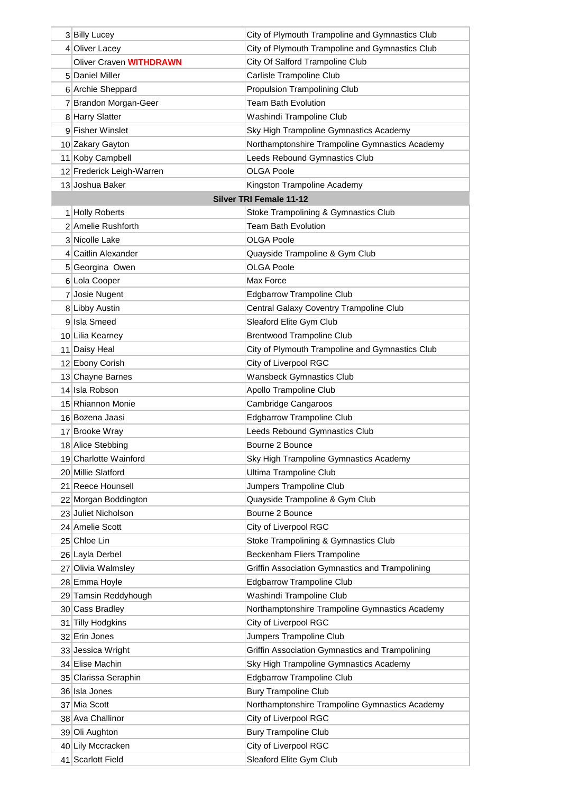| 3 Billy Lucey                  | City of Plymouth Trampoline and Gymnastics Club |
|--------------------------------|-------------------------------------------------|
| 4 Oliver Lacey                 | City of Plymouth Trampoline and Gymnastics Club |
| Oliver Craven <b>WITHDRAWN</b> | City Of Salford Trampoline Club                 |
| 5 Daniel Miller                | Carlisle Trampoline Club                        |
| 6 Archie Sheppard              | <b>Propulsion Trampolining Club</b>             |
| 7 Brandon Morgan-Geer          | <b>Team Bath Evolution</b>                      |
| 8 Harry Slatter                | Washindi Trampoline Club                        |
| 9 Fisher Winslet               | Sky High Trampoline Gymnastics Academy          |
| 10 Zakary Gayton               | Northamptonshire Trampoline Gymnastics Academy  |
| 11 Koby Campbell               | Leeds Rebound Gymnastics Club                   |
| 12 Frederick Leigh-Warren      | OLGA Poole                                      |
| 13 Joshua Baker                | Kingston Trampoline Academy                     |
|                                | <b>Silver TRI Female 11-12</b>                  |
| 1 Holly Roberts                | Stoke Trampolining & Gymnastics Club            |
| 2 Amelie Rushforth             | <b>Team Bath Evolution</b>                      |
| 3 Nicolle Lake                 | <b>OLGA Poole</b>                               |
| 4 Caitlin Alexander            | Quayside Trampoline & Gym Club                  |
| 5 Georgina Owen                | <b>OLGA Poole</b>                               |
| 6 Lola Cooper                  | Max Force                                       |
| 7 Josie Nugent                 | <b>Edgbarrow Trampoline Club</b>                |
| 8 Libby Austin                 | Central Galaxy Coventry Trampoline Club         |
| 9 Isla Smeed                   | Sleaford Elite Gym Club                         |
| 10 Lilia Kearney               | <b>Brentwood Trampoline Club</b>                |
| 11 Daisy Heal                  | City of Plymouth Trampoline and Gymnastics Club |
| 12 Ebony Corish                | City of Liverpool RGC                           |
| 13 Chayne Barnes               | <b>Wansbeck Gymnastics Club</b>                 |
| 14 Isla Robson                 | Apollo Trampoline Club                          |
| 15 Rhiannon Monie              | Cambridge Cangaroos                             |
| 16 Bozena Jaasi                | <b>Edgbarrow Trampoline Club</b>                |
| 17 Brooke Wray                 | Leeds Rebound Gymnastics Club                   |
| 18 Alice Stebbing              | Bourne 2 Bounce                                 |
| 19 Charlotte Wainford          | Sky High Trampoline Gymnastics Academy          |
| 20 Millie Slatford             | Ultima Trampoline Club                          |
| 21 Reece Hounsell              | Jumpers Trampoline Club                         |
| 22 Morgan Boddington           | Quayside Trampoline & Gym Club                  |
| 23 Juliet Nicholson            | Bourne 2 Bounce                                 |
| 24 Amelie Scott                | City of Liverpool RGC                           |
| 25 Chloe Lin                   | Stoke Trampolining & Gymnastics Club            |
| 26 Layla Derbel                | Beckenham Fliers Trampoline                     |
| 27 Olivia Walmsley             | Griffin Association Gymnastics and Trampolining |
| 28 Emma Hoyle                  | <b>Edgbarrow Trampoline Club</b>                |
| 29 Tamsin Reddyhough           | Washindi Trampoline Club                        |
| 30 Cass Bradley                | Northamptonshire Trampoline Gymnastics Academy  |
| 31 Tilly Hodgkins              | City of Liverpool RGC                           |
| 32 Erin Jones                  | Jumpers Trampoline Club                         |
| 33 Jessica Wright              | Griffin Association Gymnastics and Trampolining |
| 34 Elise Machin                | Sky High Trampoline Gymnastics Academy          |
| 35 Clarissa Seraphin           | <b>Edgbarrow Trampoline Club</b>                |
| 36 Isla Jones                  | <b>Bury Trampoline Club</b>                     |
| 37 Mia Scott                   | Northamptonshire Trampoline Gymnastics Academy  |
| 38 Ava Challinor               | City of Liverpool RGC                           |
| 39 Oli Aughton                 | <b>Bury Trampoline Club</b>                     |
| 40 Lily Mccracken              | City of Liverpool RGC                           |
| 41 Scarlott Field              | Sleaford Elite Gym Club                         |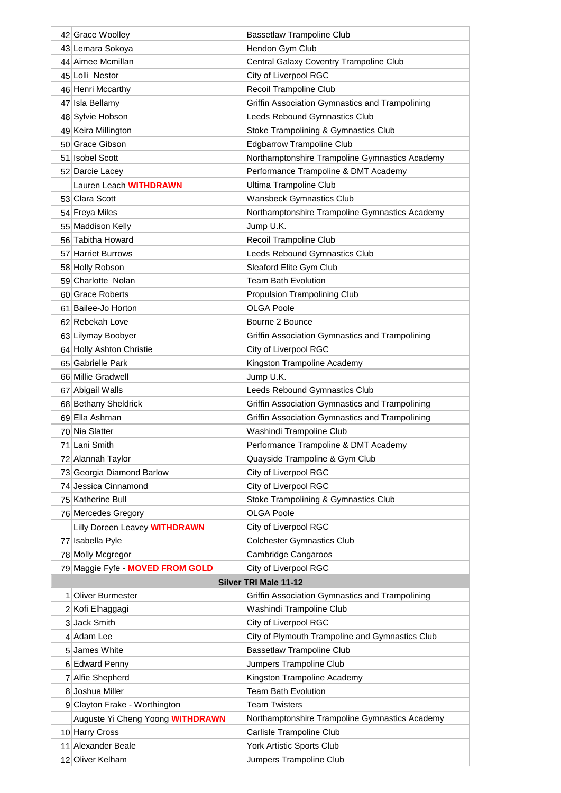| 42 Grace Woolley                 | <b>Bassetlaw Trampoline Club</b>                       |
|----------------------------------|--------------------------------------------------------|
| 43 Lemara Sokoya                 | Hendon Gym Club                                        |
| 44 Aimee Mcmillan                | Central Galaxy Coventry Trampoline Club                |
| 45 Lolli Nestor                  | City of Liverpool RGC                                  |
| 46 Henri Mccarthy                | Recoil Trampoline Club                                 |
| 47 Isla Bellamy                  | <b>Griffin Association Gymnastics and Trampolining</b> |
| 48 Sylvie Hobson                 | Leeds Rebound Gymnastics Club                          |
| 49 Keira Millington              | Stoke Trampolining & Gymnastics Club                   |
| 50 Grace Gibson                  | <b>Edgbarrow Trampoline Club</b>                       |
| 51 Isobel Scott                  | Northamptonshire Trampoline Gymnastics Academy         |
| 52 Darcie Lacey                  | Performance Trampoline & DMT Academy                   |
| Lauren Leach WITHDRAWN           | Ultima Trampoline Club                                 |
| 53 Clara Scott                   | <b>Wansbeck Gymnastics Club</b>                        |
| 54 Freya Miles                   | Northamptonshire Trampoline Gymnastics Academy         |
| 55 Maddison Kelly                | Jump U.K.                                              |
| 56 Tabitha Howard                | Recoil Trampoline Club                                 |
| 57 Harriet Burrows               | Leeds Rebound Gymnastics Club                          |
| 58 Holly Robson                  | Sleaford Elite Gym Club                                |
| 59 Charlotte Nolan               | <b>Team Bath Evolution</b>                             |
| 60 Grace Roberts                 | Propulsion Trampolining Club                           |
| 61 Bailee-Jo Horton              | OLGA Poole                                             |
| 62 Rebekah Love                  | Bourne 2 Bounce                                        |
| 63 Lilymay Boobyer               | Griffin Association Gymnastics and Trampolining        |
| 64 Holly Ashton Christie         | City of Liverpool RGC                                  |
| 65 Gabrielle Park                | Kingston Trampoline Academy                            |
| 66 Millie Gradwell               | Jump U.K.                                              |
| 67 Abigail Walls                 | Leeds Rebound Gymnastics Club                          |
| 68 Bethany Sheldrick             | Griffin Association Gymnastics and Trampolining        |
| 69 Ella Ashman                   | Griffin Association Gymnastics and Trampolining        |
| 70 Nia Slatter                   | Washindi Trampoline Club                               |
| 71 Lani Smith                    | Performance Trampoline & DMT Academy                   |
| 72 Alannah Taylor                | Quayside Trampoline & Gym Club                         |
| 73 Georgia Diamond Barlow        | City of Liverpool RGC                                  |
| 74 Jessica Cinnamond             | City of Liverpool RGC                                  |
| 75 Katherine Bull                | Stoke Trampolining & Gymnastics Club                   |
| 76 Mercedes Gregory              | <b>OLGA Poole</b>                                      |
| Lilly Doreen Leavey WITHDRAWN    | City of Liverpool RGC                                  |
| 77 Isabella Pyle                 | <b>Colchester Gymnastics Club</b>                      |
| 78 Molly Mcgregor                | Cambridge Cangaroos                                    |
| 79 Maggie Fyfe - MOVED FROM GOLD | City of Liverpool RGC                                  |
|                                  | <b>Silver TRI Male 11-12</b>                           |
| 1 Oliver Burmester               | Griffin Association Gymnastics and Trampolining        |
| 2 Kofi Elhaggagi                 | Washindi Trampoline Club                               |
| 3 Jack Smith                     | City of Liverpool RGC                                  |
| 4 Adam Lee                       | City of Plymouth Trampoline and Gymnastics Club        |
| 5 James White                    | <b>Bassetlaw Trampoline Club</b>                       |
| 6 Edward Penny                   | Jumpers Trampoline Club                                |
| 7 Alfie Shepherd                 | Kingston Trampoline Academy                            |
| 8 Joshua Miller                  | <b>Team Bath Evolution</b>                             |
| 9 Clayton Frake - Worthington    | <b>Team Twisters</b>                                   |
| Auguste Yi Cheng Yoong WITHDRAWN | Northamptonshire Trampoline Gymnastics Academy         |
| 10 Harry Cross                   | Carlisle Trampoline Club                               |
| 11 Alexander Beale               | York Artistic Sports Club                              |
| 12 Oliver Kelham                 | Jumpers Trampoline Club                                |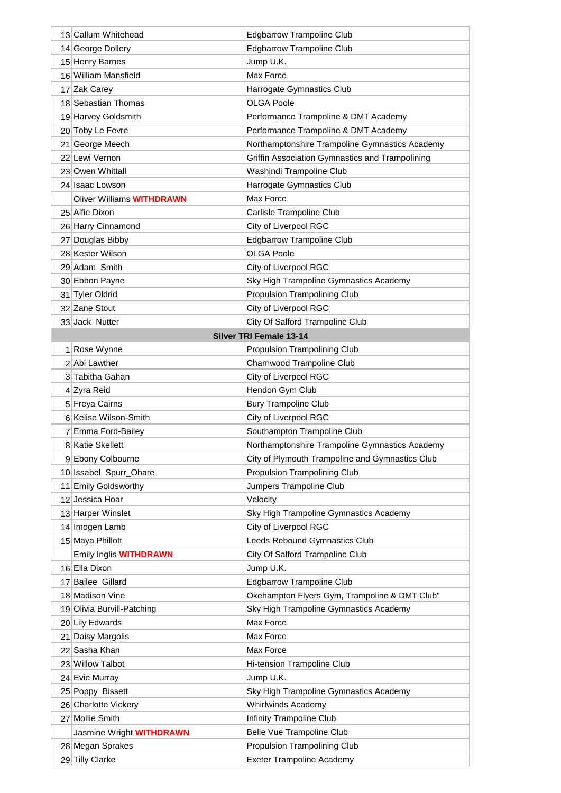| 13 Callum Whitehead                 | <b>Edgbarrow Trampoline Club</b>                      |
|-------------------------------------|-------------------------------------------------------|
| 14 George Dollery                   | <b>Edgbarrow Trampoline Club</b>                      |
| 15 Henry Barnes                     | Jump U.K.                                             |
| 16 William Mansfield                | Max Force                                             |
| 17 Zak Carey                        | Harrogate Gymnastics Club                             |
| 18 Sebastian Thomas                 | <b>OLGA Poole</b>                                     |
| 19 Harvey Goldsmith                 | Performance Trampoline & DMT Academy                  |
| 20 Toby Le Fevre                    | Performance Trampoline & DMT Academy                  |
| 21 George Meech                     | Northamptonshire Trampoline Gymnastics Academy        |
| 22 Lewi Vernon                      | Griffin Association Gymnastics and Trampolining       |
| 23 Owen Whittall                    | Washindi Trampoline Club                              |
| 24 Isaac Lowson                     | Harrogate Gymnastics Club                             |
| Oliver Williams <b>WITHDRAWN</b>    | Max Force                                             |
| 25 Alfie Dixon                      | Carlisle Trampoline Club                              |
| 26 Harry Cinnamond                  | City of Liverpool RGC                                 |
| 27 Douglas Bibby                    | <b>Edgbarrow Trampoline Club</b>                      |
| 28 Kester Wilson                    | <b>OLGA Poole</b>                                     |
| 29 Adam Smith                       | City of Liverpool RGC                                 |
| 30 Ebbon Payne                      | Sky High Trampoline Gymnastics Academy                |
| 31 Tyler Oldrid                     | <b>Propulsion Trampolining Club</b>                   |
| 32 Zane Stout                       | City of Liverpool RGC                                 |
| 33 Jack Nutter                      | City Of Salford Trampoline Club                       |
|                                     | <b>Silver TRI Female 13-14</b>                        |
| 1 Rose Wynne                        | <b>Propulsion Trampolining Club</b>                   |
| 2 Abi Lawther                       | Charnwood Trampoline Club                             |
| 3 Tabitha Gahan                     | City of Liverpool RGC                                 |
| 4 Zyra Reid                         | Hendon Gym Club                                       |
| 5 Freya Cairns                      | <b>Bury Trampoline Club</b>                           |
| 6 Kelise Wilson-Smith               | City of Liverpool RGC                                 |
| 7 Emma Ford-Bailey                  | Southampton Trampoline Club                           |
| 8 Katie Skellett                    | Northamptonshire Trampoline Gymnastics Academy        |
| 9 Ebony Colbourne                   | City of Plymouth Trampoline and Gymnastics Club       |
| 10 Issabel Spurr_Ohare              | <b>Propulsion Trampolining Club</b>                   |
| 11 Emily Goldsworthy                | Jumpers Trampoline Club                               |
| 12 Jessica Hoar                     | Velocity                                              |
| 13 Harper Winslet                   | Sky High Trampoline Gymnastics Academy                |
| 14 Imogen Lamb                      | City of Liverpool RGC                                 |
| 15 Maya Phillott                    | Leeds Rebound Gymnastics Club                         |
| Emily Inglis <b>WITHDRAWN</b>       | City Of Salford Trampoline Club                       |
| 16 Ella Dixon                       | Jump U.K.                                             |
| 17 Bailee Gillard                   | <b>Edgbarrow Trampoline Club</b>                      |
| 18 Madison Vine                     | Okehampton Flyers Gym, Trampoline & DMT Club"         |
| 19 Olivia Burvill-Patching          | Sky High Trampoline Gymnastics Academy                |
| 20 Lily Edwards                     | Max Force                                             |
| 21 Daisy Margolis                   | Max Force                                             |
| 22 Sasha Khan                       | Max Force                                             |
| 23 Willow Talbot                    | Hi-tension Trampoline Club                            |
| 24 Evie Murray                      | Jump U.K.                                             |
| 25 Poppy Bissett                    | Sky High Trampoline Gymnastics Academy                |
| 26 Charlotte Vickery                | <b>Whirlwinds Academy</b>                             |
| 27 Mollie Smith                     | Infinity Trampoline Club<br>Belle Vue Trampoline Club |
| Jasmine Wright <b>WITHDRAWN</b>     | Propulsion Trampolining Club                          |
| 28 Megan Sprakes<br>29 Tilly Clarke | Exeter Trampoline Academy                             |
|                                     |                                                       |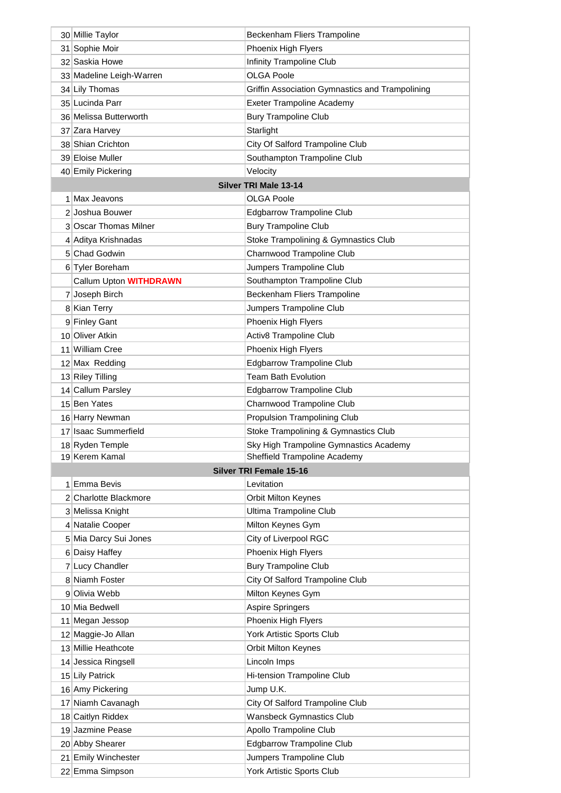| 30 Millie Taylor         | Beckenham Fliers Trampoline                     |
|--------------------------|-------------------------------------------------|
| 31 Sophie Moir           | Phoenix High Flyers                             |
| 32 Saskia Howe           | Infinity Trampoline Club                        |
| 33 Madeline Leigh-Warren | <b>OLGA Poole</b>                               |
| 34 Lily Thomas           | Griffin Association Gymnastics and Trampolining |
| 35 Lucinda Parr          | <b>Exeter Trampoline Academy</b>                |
| 36 Melissa Butterworth   | <b>Bury Trampoline Club</b>                     |
| 37 Zara Harvey           | Starlight                                       |
| 38 Shian Crichton        | City Of Salford Trampoline Club                 |
| 39 Eloise Muller         | Southampton Trampoline Club                     |
| 40 Emily Pickering       | Velocity                                        |
|                          | Silver TRI Male 13-14                           |
| 1 Max Jeavons            | <b>OLGA Poole</b>                               |
| 2 Joshua Bouwer          | <b>Edgbarrow Trampoline Club</b>                |
| 3 Oscar Thomas Milner    |                                                 |
|                          | <b>Bury Trampoline Club</b>                     |
| 4 Aditya Krishnadas      | Stoke Trampolining & Gymnastics Club            |
| 5 Chad Godwin            | Charnwood Trampoline Club                       |
| 6 Tyler Boreham          | Jumpers Trampoline Club                         |
| Callum Upton WITHDRAWN   | Southampton Trampoline Club                     |
| 7 Joseph Birch           | Beckenham Fliers Trampoline                     |
| 8 Kian Terry             | Jumpers Trampoline Club                         |
| 9 Finley Gant            | Phoenix High Flyers                             |
| 10 Oliver Atkin          | Activ8 Trampoline Club                          |
| 11 William Cree          | Phoenix High Flyers                             |
| 12 Max Redding           | <b>Edgbarrow Trampoline Club</b>                |
| 13 Riley Tilling         | <b>Team Bath Evolution</b>                      |
| 14 Callum Parsley        | <b>Edgbarrow Trampoline Club</b>                |
| 15 Ben Yates             | Charnwood Trampoline Club                       |
| 16 Harry Newman          | <b>Propulsion Trampolining Club</b>             |
| 17 Isaac Summerfield     | Stoke Trampolining & Gymnastics Club            |
| 18 Ryden Temple          | Sky High Trampoline Gymnastics Academy          |
| 19 Kerem Kamal           | Sheffield Trampoline Academy                    |
|                          | <b>Silver TRI Female 15-16</b>                  |
| 1 Emma Bevis             | Levitation                                      |
| 2 Charlotte Blackmore    | <b>Orbit Milton Keynes</b>                      |
| 3 Melissa Knight         | <b>Ultima Trampoline Club</b>                   |
| 4 Natalie Cooper         | Milton Keynes Gym                               |
| 5 Mia Darcy Sui Jones    | City of Liverpool RGC                           |
| 6 Daisy Haffey           | Phoenix High Flyers                             |
| 7 Lucy Chandler          | <b>Bury Trampoline Club</b>                     |
| 8 Niamh Foster           | City Of Salford Trampoline Club                 |
| 9 Olivia Webb            | Milton Keynes Gym                               |
| 10 Mia Bedwell           | <b>Aspire Springers</b>                         |
| 11 Megan Jessop          | Phoenix High Flyers                             |
| 12 Maggie-Jo Allan       | York Artistic Sports Club                       |
| 13 Millie Heathcote      | <b>Orbit Milton Keynes</b>                      |
| 14 Jessica Ringsell      | Lincoln Imps                                    |
| 15 Lily Patrick          | Hi-tension Trampoline Club                      |
| 16 Amy Pickering         | Jump U.K.                                       |
| 17 Niamh Cavanagh        | City Of Salford Trampoline Club                 |
| 18 Caitlyn Riddex        | <b>Wansbeck Gymnastics Club</b>                 |
| 19 Jazmine Pease         | Apollo Trampoline Club                          |
| 20 Abby Shearer          | <b>Edgbarrow Trampoline Club</b>                |
| 21 Emily Winchester      | Jumpers Trampoline Club                         |
| 22 Emma Simpson          | York Artistic Sports Club                       |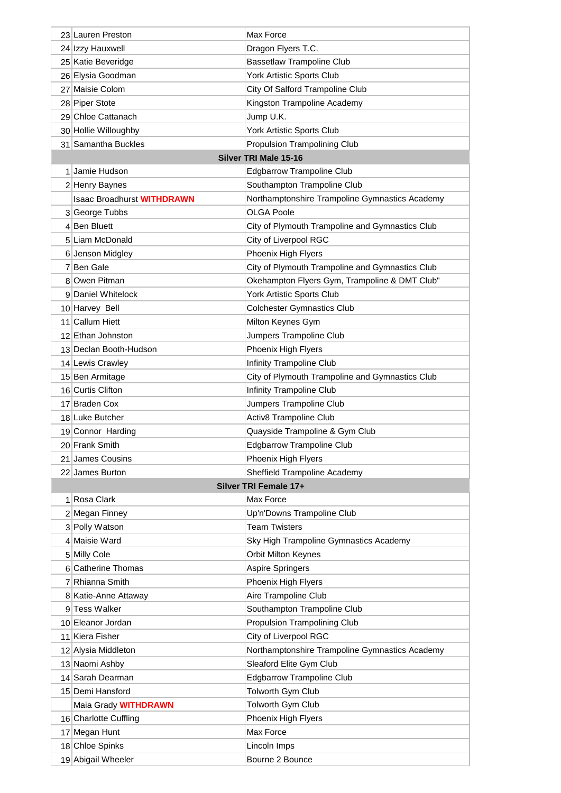| 23 Lauren Preston                 | Max Force                                       |
|-----------------------------------|-------------------------------------------------|
| 24 Izzy Hauxwell                  | Dragon Flyers T.C.                              |
| 25 Katie Beveridge                | <b>Bassetlaw Trampoline Club</b>                |
| 26 Elysia Goodman                 | York Artistic Sports Club                       |
| 27 Maisie Colom                   | City Of Salford Trampoline Club                 |
| 28 Piper Stote                    | Kingston Trampoline Academy                     |
| 29 Chloe Cattanach                | Jump U.K.                                       |
| 30 Hollie Willoughby              | York Artistic Sports Club                       |
| 31 Samantha Buckles               | <b>Propulsion Trampolining Club</b>             |
|                                   | <b>Silver TRI Male 15-16</b>                    |
| 1 Jamie Hudson                    | Edgbarrow Trampoline Club                       |
| 2 Henry Baynes                    | Southampton Trampoline Club                     |
| <b>Isaac Broadhurst WITHDRAWN</b> | Northamptonshire Trampoline Gymnastics Academy  |
| 3 George Tubbs                    | <b>OLGA Poole</b>                               |
| 4 Ben Bluett                      | City of Plymouth Trampoline and Gymnastics Club |
| 5 Liam McDonald                   | City of Liverpool RGC                           |
| 6 Jenson Midgley                  | Phoenix High Flyers                             |
| 7 Ben Gale                        | City of Plymouth Trampoline and Gymnastics Club |
| 8 Owen Pitman                     | Okehampton Flyers Gym, Trampoline & DMT Club"   |
| 9 Daniel Whitelock                | York Artistic Sports Club                       |
| 10 Harvey Bell                    | <b>Colchester Gymnastics Club</b>               |
| 11 Callum Hiett                   | Milton Keynes Gym                               |
| 12 Ethan Johnston                 | Jumpers Trampoline Club                         |
| 13 Declan Booth-Hudson            | Phoenix High Flyers                             |
| 14 Lewis Crawley                  | Infinity Trampoline Club                        |
| 15 Ben Armitage                   | City of Plymouth Trampoline and Gymnastics Club |
| 16 Curtis Clifton                 | Infinity Trampoline Club                        |
| 17 Braden Cox                     | Jumpers Trampoline Club                         |
| 18 Luke Butcher                   | Activ8 Trampoline Club                          |
| 19 Connor Harding                 | Quayside Trampoline & Gym Club                  |
| 20 Frank Smith                    | <b>Edgbarrow Trampoline Club</b>                |
| 21 James Cousins                  | Phoenix High Flyers                             |
| 22 James Burton                   | Sheffield Trampoline Academy                    |
|                                   | Silver TRI Female 17+                           |
| 1 Rosa Clark                      | Max Force                                       |
| 2 Megan Finney                    | Up'n'Downs Trampoline Club                      |
| 3 Polly Watson                    | <b>Team Twisters</b>                            |
| 4 Maisie Ward                     | Sky High Trampoline Gymnastics Academy          |
| 5 Milly Cole                      | <b>Orbit Milton Keynes</b>                      |
| 6 Catherine Thomas                | <b>Aspire Springers</b>                         |
| 7 Rhianna Smith                   | Phoenix High Flyers                             |
| 8 Katie-Anne Attaway              | Aire Trampoline Club                            |
| 9 Tess Walker                     | Southampton Trampoline Club                     |
| 10 Eleanor Jordan                 | Propulsion Trampolining Club                    |
| 11 Kiera Fisher                   | City of Liverpool RGC                           |
| 12 Alysia Middleton               | Northamptonshire Trampoline Gymnastics Academy  |
| 13 Naomi Ashby                    | Sleaford Elite Gym Club                         |
| 14 Sarah Dearman                  | <b>Edgbarrow Trampoline Club</b>                |
| 15 Demi Hansford                  | Tolworth Gym Club                               |
| Maia Grady <b>WITHDRAWN</b>       | Tolworth Gym Club                               |
| 16 Charlotte Cuffling             | Phoenix High Flyers                             |
| 17 Megan Hunt                     | Max Force                                       |
| 18 Chloe Spinks                   | Lincoln Imps                                    |
| 19 Abigail Wheeler                | Bourne 2 Bounce                                 |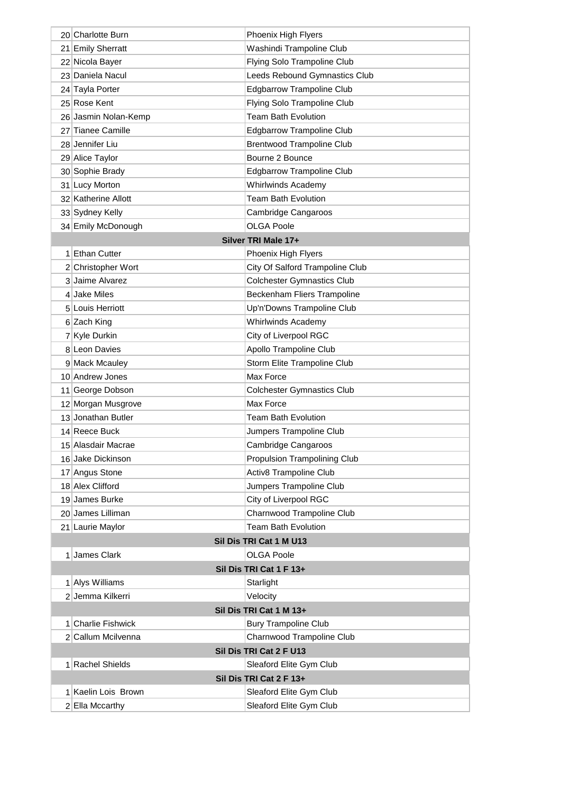| 20 Charlotte Burn    | Phoenix High Flyers                 |
|----------------------|-------------------------------------|
| 21 Emily Sherratt    | Washindi Trampoline Club            |
| 22 Nicola Bayer      | Flying Solo Trampoline Club         |
| 23 Daniela Nacul     | Leeds Rebound Gymnastics Club       |
| 24 Tayla Porter      | <b>Edgbarrow Trampoline Club</b>    |
| 25 Rose Kent         | Flying Solo Trampoline Club         |
| 26 Jasmin Nolan-Kemp | <b>Team Bath Evolution</b>          |
| 27 Tianee Camille    | <b>Edgbarrow Trampoline Club</b>    |
| 28 Jennifer Liu      | <b>Brentwood Trampoline Club</b>    |
| 29 Alice Taylor      | Bourne 2 Bounce                     |
| 30 Sophie Brady      | <b>Edgbarrow Trampoline Club</b>    |
| 31 Lucy Morton       | Whirlwinds Academy                  |
| 32 Katherine Allott  | <b>Team Bath Evolution</b>          |
| 33 Sydney Kelly      | Cambridge Cangaroos                 |
| 34 Emily McDonough   | <b>OLGA Poole</b>                   |
|                      | Silver TRI Male 17+                 |
| 1 Ethan Cutter       | Phoenix High Flyers                 |
| 2 Christopher Wort   | City Of Salford Trampoline Club     |
| 3 Jaime Alvarez      | <b>Colchester Gymnastics Club</b>   |
| 4 Jake Miles         | Beckenham Fliers Trampoline         |
| 5 Louis Herriott     | Up'n'Downs Trampoline Club          |
| 6 Zach King          | <b>Whirlwinds Academy</b>           |
| 7 Kyle Durkin        | City of Liverpool RGC               |
| 8 Leon Davies        | Apollo Trampoline Club              |
| 9 Mack Mcauley       | Storm Elite Trampoline Club         |
| 10 Andrew Jones      | Max Force                           |
| 11 George Dobson     | <b>Colchester Gymnastics Club</b>   |
| 12 Morgan Musgrove   | Max Force                           |
| 13 Jonathan Butler   | <b>Team Bath Evolution</b>          |
| 14 Reece Buck        | Jumpers Trampoline Club             |
| 15 Alasdair Macrae   | Cambridge Cangaroos                 |
| 16 Jake Dickinson    | <b>Propulsion Trampolining Club</b> |
| 17 Angus Stone       | Activ8 Trampoline Club              |
| 18 Alex Clifford     | Jumpers Trampoline Club             |
| 19 James Burke       | City of Liverpool RGC               |
| 20 James Lilliman    | Charnwood Trampoline Club           |
| 21 Laurie Maylor     | <b>Team Bath Evolution</b>          |
|                      | Sil Dis TRI Cat 1 M U13             |
| 1 James Clark        | <b>OLGA Poole</b>                   |
|                      | Sil Dis TRI Cat 1 F 13+             |
| 1 Alys Williams      | Starlight                           |
| 2 Jemma Kilkerri     | Velocity                            |
|                      | Sil Dis TRI Cat 1 M 13+             |
| 1 Charlie Fishwick   | <b>Bury Trampoline Club</b>         |
| 2 Callum Mcilvenna   | Charnwood Trampoline Club           |
|                      | Sil Dis TRI Cat 2 F U13             |
| 1 Rachel Shields     | Sleaford Elite Gym Club             |
|                      | Sil Dis TRI Cat 2 F 13+             |
| 1 Kaelin Lois Brown  | Sleaford Elite Gym Club             |
| 2 Ella Mccarthy      | Sleaford Elite Gym Club             |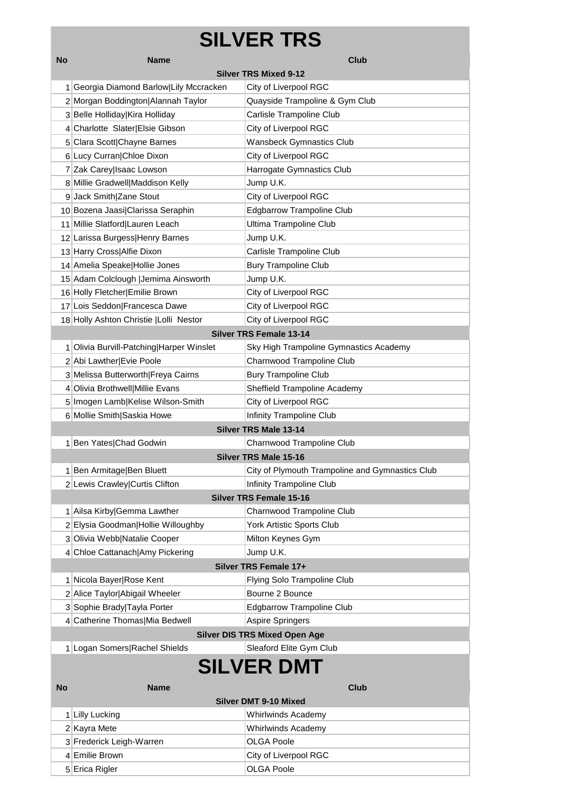## **SILVER TRS**

| No                | <b>Name</b>                              | <b>Club</b>                                     |  |  |  |
|-------------------|------------------------------------------|-------------------------------------------------|--|--|--|
|                   | <b>Silver TRS Mixed 9-12</b>             |                                                 |  |  |  |
|                   | 1 Georgia Diamond Barlow Lily Mccracken  | City of Liverpool RGC                           |  |  |  |
|                   | 2 Morgan Boddington Alannah Taylor       | Quayside Trampoline & Gym Club                  |  |  |  |
|                   | 3 Belle Holliday Kira Holliday           | Carlisle Trampoline Club                        |  |  |  |
|                   | 4 Charlotte Slater Elsie Gibson          | City of Liverpool RGC                           |  |  |  |
|                   | 5 Clara Scott Chayne Barnes              | <b>Wansbeck Gymnastics Club</b>                 |  |  |  |
|                   | 6 Lucy Curran Chloe Dixon                | City of Liverpool RGC                           |  |  |  |
|                   | 7 Zak Carey Isaac Lowson                 | Harrogate Gymnastics Club                       |  |  |  |
|                   | 8 Millie Gradwell Maddison Kelly         | Jump U.K.                                       |  |  |  |
|                   | 9 Jack Smith Zane Stout                  | City of Liverpool RGC                           |  |  |  |
|                   | 10 Bozena Jaasi Clarissa Seraphin        | <b>Edgbarrow Trampoline Club</b>                |  |  |  |
|                   | 11 Millie Slatford Lauren Leach          | Ultima Trampoline Club                          |  |  |  |
|                   | 12 Larissa Burgess Henry Barnes          | Jump U.K.                                       |  |  |  |
|                   | 13 Harry Cross Alfie Dixon               | Carlisle Trampoline Club                        |  |  |  |
|                   | 14 Amelia Speake Hollie Jones            | <b>Bury Trampoline Club</b>                     |  |  |  |
|                   | 15 Adam Colclough   Jemima Ainsworth     | Jump U.K.                                       |  |  |  |
|                   | 16 Holly Fletcher Emilie Brown           | City of Liverpool RGC                           |  |  |  |
|                   | 17 Lois Seddon Francesca Dawe            | City of Liverpool RGC                           |  |  |  |
|                   | 18 Holly Ashton Christie   Lolli Nestor  | City of Liverpool RGC                           |  |  |  |
|                   |                                          | <b>Silver TRS Female 13-14</b>                  |  |  |  |
|                   | 1 Olivia Burvill-Patching Harper Winslet | Sky High Trampoline Gymnastics Academy          |  |  |  |
|                   | 2 Abi Lawther Evie Poole                 | Charnwood Trampoline Club                       |  |  |  |
|                   | 3 Melissa Butterworth Freya Cairns       | <b>Bury Trampoline Club</b>                     |  |  |  |
|                   | 4 Olivia Brothwell Millie Evans          | Sheffield Trampoline Academy                    |  |  |  |
|                   | 5 Imogen Lamb Kelise Wilson-Smith        | City of Liverpool RGC                           |  |  |  |
|                   | 6 Mollie Smith Saskia Howe               | Infinity Trampoline Club                        |  |  |  |
|                   |                                          | <b>Silver TRS Male 13-14</b>                    |  |  |  |
|                   | 1 Ben Yates Chad Godwin                  | Charnwood Trampoline Club                       |  |  |  |
|                   |                                          | <b>Silver TRS Male 15-16</b>                    |  |  |  |
|                   | 1 Ben Armitage Ben Bluett                | City of Plymouth Trampoline and Gymnastics Club |  |  |  |
|                   | 2 Lewis Crawley Curtis Clifton           | Infinity Trampoline Club                        |  |  |  |
|                   |                                          | <b>Silver TRS Female 15-16</b>                  |  |  |  |
|                   | 1 Ailsa Kirby Gemma Lawther              | Charnwood Trampoline Club                       |  |  |  |
|                   | 2 Elysia Goodman Hollie Willoughby       | York Artistic Sports Club                       |  |  |  |
|                   | 3 Olivia Webb Natalie Cooper             | Milton Keynes Gym                               |  |  |  |
|                   | 4 Chloe Cattanach Amy Pickering          | Jump U.K.                                       |  |  |  |
|                   |                                          | Silver TRS Female 17+                           |  |  |  |
|                   | 1 Nicola Bayer Rose Kent                 | Flying Solo Trampoline Club                     |  |  |  |
|                   | 2 Alice Taylor Abigail Wheeler           | Bourne 2 Bounce                                 |  |  |  |
|                   | 3 Sophie Brady Tayla Porter              | <b>Edgbarrow Trampoline Club</b>                |  |  |  |
|                   | 4 Catherine Thomas Mia Bedwell           | <b>Aspire Springers</b>                         |  |  |  |
|                   |                                          | <b>Silver DIS TRS Mixed Open Age</b>            |  |  |  |
|                   | 1 Logan Somers Rachel Shields            | Sleaford Elite Gym Club                         |  |  |  |
| <b>SILVER DMT</b> |                                          |                                                 |  |  |  |
| <b>No</b>         | <b>Name</b>                              | <b>Club</b>                                     |  |  |  |
|                   |                                          | <b>Silver DMT 9-10 Mixed</b>                    |  |  |  |
|                   | 1 Lilly Lucking                          | <b>Whirlwinds Academy</b>                       |  |  |  |
|                   | 2 Kayra Mete                             | <b>Whirlwinds Academy</b>                       |  |  |  |
|                   | 3 Frederick Leigh-Warren                 | <b>OLGA Poole</b>                               |  |  |  |
|                   |                                          |                                                 |  |  |  |

4 Emilie Brown City of Liverpool RGC 5 Erica Rigler Contract Contract Contract Contract Contract OLGA Poole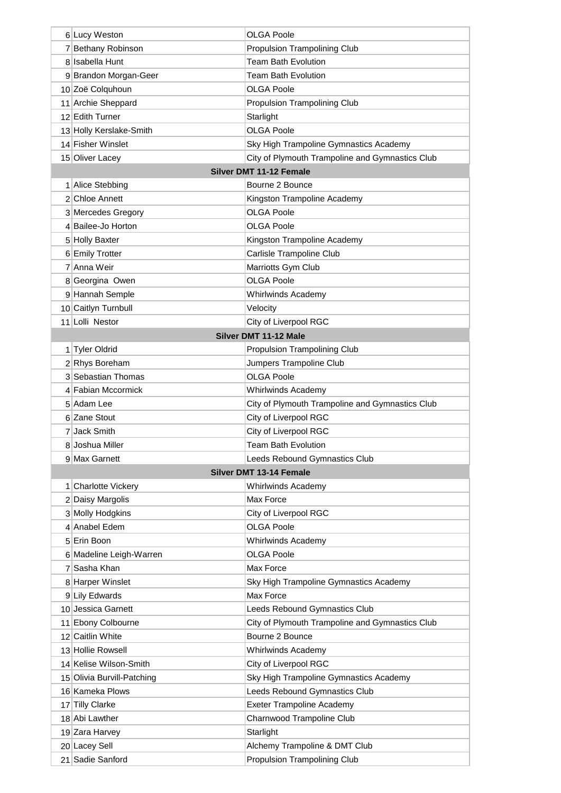| 6 Lucy Weston                         | <b>OLGA Poole</b>                               |
|---------------------------------------|-------------------------------------------------|
| 7 Bethany Robinson                    | Propulsion Trampolining Club                    |
| 8 Isabella Hunt                       | <b>Team Bath Evolution</b>                      |
| 9 Brandon Morgan-Geer                 | <b>Team Bath Evolution</b>                      |
| 10 Zoë Colquhoun                      | OLGA Poole                                      |
|                                       | <b>Propulsion Trampolining Club</b>             |
| 11 Archie Sheppard<br>12 Edith Turner |                                                 |
|                                       | Starlight                                       |
| 13 Holly Kerslake-Smith               | <b>OLGA Poole</b>                               |
| 14 Fisher Winslet                     | Sky High Trampoline Gymnastics Academy          |
| 15 Oliver Lacey                       | City of Plymouth Trampoline and Gymnastics Club |
|                                       | Silver DMT 11-12 Female                         |
| 1 Alice Stebbing                      | Bourne 2 Bounce                                 |
| 2 Chloe Annett                        | Kingston Trampoline Academy                     |
| 3 Mercedes Gregory                    | <b>OLGA Poole</b>                               |
| 4 Bailee-Jo Horton                    | OLGA Poole                                      |
| 5 Holly Baxter                        | Kingston Trampoline Academy                     |
| 6 Emily Trotter                       | Carlisle Trampoline Club                        |
| 7 Anna Weir                           | Marriotts Gym Club                              |
| 8 Georgina Owen                       | <b>OLGA Poole</b>                               |
| 9 Hannah Semple                       | <b>Whirlwinds Academy</b>                       |
| 10 Caitlyn Turnbull                   | Velocity                                        |
| 11 Lolli Nestor                       | City of Liverpool RGC                           |
|                                       | Silver DMT 11-12 Male                           |
| 1 Tyler Oldrid                        | <b>Propulsion Trampolining Club</b>             |
| 2 Rhys Boreham                        | Jumpers Trampoline Club                         |
| 3 Sebastian Thomas                    | <b>OLGA Poole</b>                               |
| 4 Fabian Mccormick                    | <b>Whirlwinds Academy</b>                       |
| 5 Adam Lee                            | City of Plymouth Trampoline and Gymnastics Club |
| 6 Zane Stout                          | City of Liverpool RGC                           |
| 7 Jack Smith                          | City of Liverpool RGC                           |
| 8 Joshua Miller                       | <b>Team Bath Evolution</b>                      |
| 9 Max Garnett                         | Leeds Rebound Gymnastics Club                   |
|                                       | Silver DMT 13-14 Female                         |
| 1 Charlotte Vickery                   | Whirlwinds Academy                              |
| 2 Daisy Margolis                      | Max Force                                       |
| 3 Molly Hodgkins                      | City of Liverpool RGC                           |
| 4 Anabel Edem                         | <b>OLGA Poole</b>                               |
| 5 Erin Boon                           | <b>Whirlwinds Academy</b>                       |
| 6 Madeline Leigh-Warren               | <b>OLGA Poole</b>                               |
| 7 Sasha Khan                          | Max Force                                       |
| 8 Harper Winslet                      | Sky High Trampoline Gymnastics Academy          |
| 9 Lily Edwards                        | Max Force                                       |
| 10 Jessica Garnett                    | Leeds Rebound Gymnastics Club                   |
| 11 Ebony Colbourne                    | City of Plymouth Trampoline and Gymnastics Club |
| 12 Caitlin White                      | Bourne 2 Bounce                                 |
| 13 Hollie Rowsell                     | <b>Whirlwinds Academy</b>                       |
| 14 Kelise Wilson-Smith                | City of Liverpool RGC                           |
| 15 Olivia Burvill-Patching            | Sky High Trampoline Gymnastics Academy          |
| 16 Kameka Plows                       | Leeds Rebound Gymnastics Club                   |
| 17 Tilly Clarke                       | <b>Exeter Trampoline Academy</b>                |
| 18 Abi Lawther                        | Charnwood Trampoline Club                       |
| 19 Zara Harvey                        | Starlight                                       |
| 20 Lacey Sell                         | Alchemy Trampoline & DMT Club                   |
| 21 Sadie Sanford                      | <b>Propulsion Trampolining Club</b>             |
|                                       |                                                 |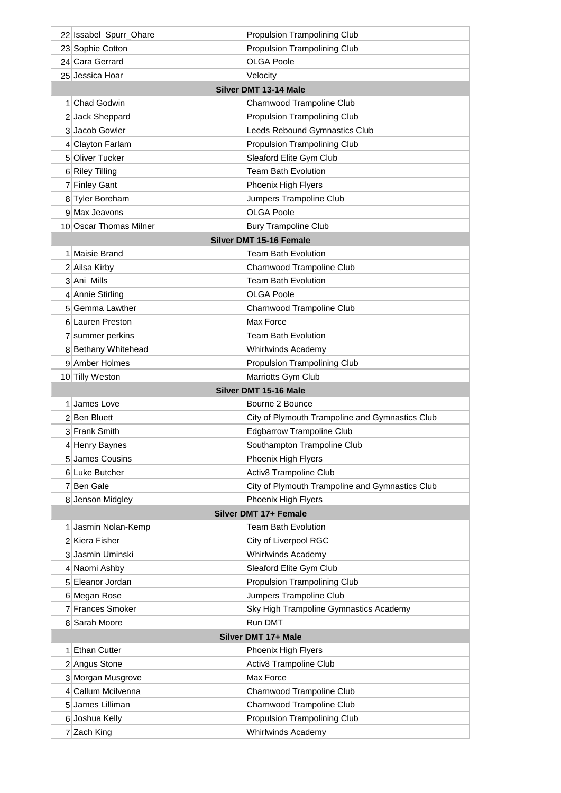|                       | 22 Issabel Spurr_Ohare        | <b>Propulsion Trampolining Club</b>                |
|-----------------------|-------------------------------|----------------------------------------------------|
|                       | 23 Sophie Cotton              | <b>Propulsion Trampolining Club</b>                |
|                       | 24 Cara Gerrard               | OLGA Poole                                         |
|                       | 25 Jessica Hoar               | Velocity                                           |
| Silver DMT 13-14 Male |                               |                                                    |
|                       | 1 Chad Godwin                 | Charnwood Trampoline Club                          |
|                       | 2 Jack Sheppard               | <b>Propulsion Trampolining Club</b>                |
|                       | 3 Jacob Gowler                | Leeds Rebound Gymnastics Club                      |
|                       | 4 Clayton Farlam              | <b>Propulsion Trampolining Club</b>                |
|                       | 5 Oliver Tucker               | Sleaford Elite Gym Club                            |
|                       | 6 Riley Tilling               | <b>Team Bath Evolution</b>                         |
|                       | 7 Finley Gant                 | Phoenix High Flyers                                |
|                       | 8 Tyler Boreham               | Jumpers Trampoline Club                            |
|                       | 9 Max Jeavons                 | <b>OLGA Poole</b>                                  |
|                       | 10 Oscar Thomas Milner        | <b>Bury Trampoline Club</b>                        |
|                       |                               | Silver DMT 15-16 Female                            |
|                       | 1 Maisie Brand                | Team Bath Evolution                                |
|                       | 2 Ailsa Kirby                 | Charnwood Trampoline Club                          |
|                       | 3 Ani Mills                   | <b>Team Bath Evolution</b>                         |
|                       | 4 Annie Stirling              | OLGA Poole                                         |
|                       | 5 Gemma Lawther               | Charnwood Trampoline Club                          |
|                       | 6 Lauren Preston              | Max Force                                          |
|                       | 7 summer perkins              | <b>Team Bath Evolution</b>                         |
|                       | 8 Bethany Whitehead           | <b>Whirlwinds Academy</b>                          |
|                       | 9 Amber Holmes                | <b>Propulsion Trampolining Club</b>                |
|                       | 10 Tilly Weston               | Marriotts Gym Club                                 |
|                       |                               | Silver DMT 15-16 Male                              |
|                       | 1 James Love                  |                                                    |
|                       |                               | Bourne 2 Bounce                                    |
|                       | 2 Ben Bluett                  | City of Plymouth Trampoline and Gymnastics Club    |
|                       | 3 Frank Smith                 | <b>Edgbarrow Trampoline Club</b>                   |
|                       | 4 Henry Baynes                | Southampton Trampoline Club                        |
|                       | 5 James Cousins               | Phoenix High Flyers                                |
|                       | 6 Luke Butcher                | Activ8 Trampoline Club                             |
|                       | 7 Ben Gale                    | City of Plymouth Trampoline and Gymnastics Club    |
|                       | 8 Jenson Midgley              | Phoenix High Flyers                                |
|                       |                               | Silver DMT 17+ Female                              |
|                       | 1 Jasmin Nolan-Kemp           | <b>Team Bath Evolution</b>                         |
|                       | 2 Kiera Fisher                | City of Liverpool RGC                              |
|                       | 3 Jasmin Uminski              | <b>Whirlwinds Academy</b>                          |
|                       | 4 Naomi Ashby                 | Sleaford Elite Gym Club                            |
|                       | 5 Eleanor Jordan              | Propulsion Trampolining Club                       |
|                       | 6 Megan Rose                  | Jumpers Trampoline Club                            |
|                       | 7 Frances Smoker              | Sky High Trampoline Gymnastics Academy             |
|                       | 8 Sarah Moore                 | Run DMT                                            |
|                       |                               | Silver DMT 17+ Male                                |
|                       | 1 Ethan Cutter                | Phoenix High Flyers                                |
|                       | 2 Angus Stone                 | <b>Activ8 Trampoline Club</b>                      |
|                       | 3 Morgan Musgrove             | Max Force                                          |
|                       | 4 Callum Mcilvenna            | Charnwood Trampoline Club                          |
|                       | 5 James Lilliman              | Charnwood Trampoline Club                          |
|                       | 6 Joshua Kelly<br>7 Zach King | Propulsion Trampolining Club<br>Whirlwinds Academy |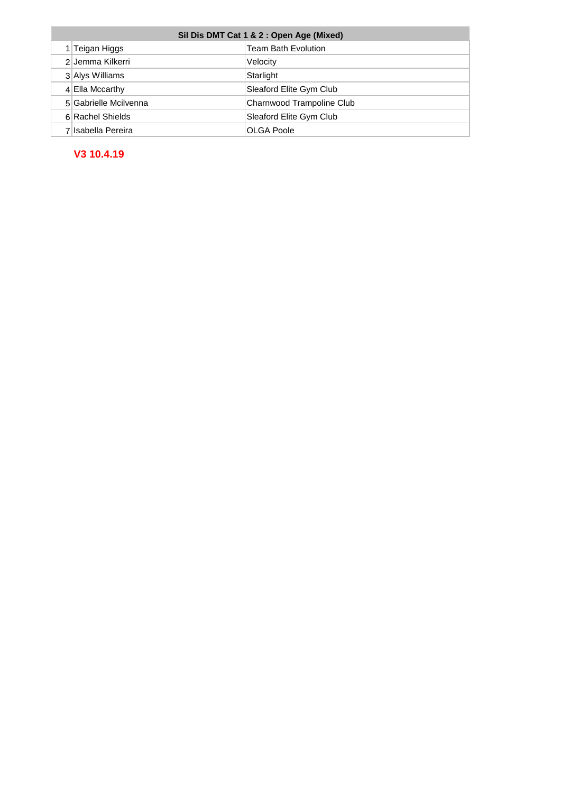| Sil Dis DMT Cat 1 & 2 : Open Age (Mixed) |                       |                            |
|------------------------------------------|-----------------------|----------------------------|
|                                          | 1 Teigan Higgs        | <b>Team Bath Evolution</b> |
|                                          | 2 Jemma Kilkerri      | Velocity                   |
|                                          | 3 Alys Williams       | Starlight                  |
|                                          | 4 Ella Mccarthy       | Sleaford Elite Gym Club    |
|                                          | 5 Gabrielle Mcilvenna | Charnwood Trampoline Club  |
|                                          | 6 Rachel Shields      | Sleaford Elite Gym Club    |
|                                          | 7 Isabella Pereira    | OLGA Poole                 |

#### **V3 10.4.19**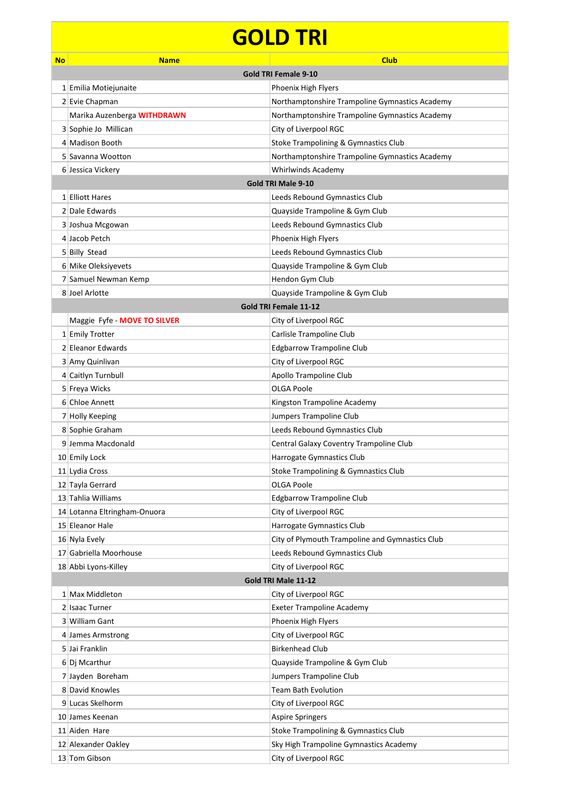## **GOLD TRI**

| <b>No</b> | <b>Name</b>                  | <b>Club</b>                                     |  |
|-----------|------------------------------|-------------------------------------------------|--|
|           | <b>Gold TRI Female 9-10</b>  |                                                 |  |
|           | 1 Emilia Motiejunaite        | Phoenix High Flyers                             |  |
|           | 2 Evie Chapman               | Northamptonshire Trampoline Gymnastics Academy  |  |
|           | Marika Auzenberga WITHDRAWN  | Northamptonshire Trampoline Gymnastics Academy  |  |
|           | 3 Sophie Jo Millican         | City of Liverpool RGC                           |  |
|           | 4 Madison Booth              | Stoke Trampolining & Gymnastics Club            |  |
|           | 5 Savanna Wootton            | Northamptonshire Trampoline Gymnastics Academy  |  |
|           | 6 Jessica Vickery            | Whirlwinds Academy                              |  |
|           |                              | <b>Gold TRI Male 9-10</b>                       |  |
|           | 1 Elliott Hares              | Leeds Rebound Gymnastics Club                   |  |
|           | 2 Dale Edwards               | Quayside Trampoline & Gym Club                  |  |
|           | 3 Joshua Mcgowan             | Leeds Rebound Gymnastics Club                   |  |
|           | 4 Jacob Petch                | Phoenix High Flyers                             |  |
|           | 5 Billy Stead                | Leeds Rebound Gymnastics Club                   |  |
|           | 6 Mike Oleksiyevets          | Quayside Trampoline & Gym Club                  |  |
|           | 7 Samuel Newman Kemp         | Hendon Gym Club                                 |  |
|           | 8 Joel Arlotte               | Quayside Trampoline & Gym Club                  |  |
|           |                              | Gold TRI Female 11-12                           |  |
|           | Maggie Fyfe - MOVE TO SILVER | City of Liverpool RGC                           |  |
|           | 1 Emily Trotter              | Carlisle Trampoline Club                        |  |
|           | 2 Eleanor Edwards            | <b>Edgbarrow Trampoline Club</b>                |  |
|           | 3 Amy Quinlivan              | City of Liverpool RGC                           |  |
|           | 4 Caitlyn Turnbull           | Apollo Trampoline Club                          |  |
|           | 5 Freya Wicks                | <b>OLGA Poole</b>                               |  |
|           | 6 Chloe Annett               | Kingston Trampoline Academy                     |  |
|           | 7 Holly Keeping              | Jumpers Trampoline Club                         |  |
|           | 8 Sophie Graham              | Leeds Rebound Gymnastics Club                   |  |
|           | 9 Jemma Macdonald            | Central Galaxy Coventry Trampoline Club         |  |
|           | 10 Emily Lock                | Harrogate Gymnastics Club                       |  |
|           | 11 Lydia Cross               | Stoke Trampolining & Gymnastics Club            |  |
|           | 12 Tayla Gerrard             | <b>OLGA Poole</b>                               |  |
|           | 13 Tahlia Williams           | <b>Edgbarrow Trampoline Club</b>                |  |
|           | 14 Lotanna Eltringham-Onuora | City of Liverpool RGC                           |  |
|           | 15 Eleanor Hale              | Harrogate Gymnastics Club                       |  |
|           | 16 Nyla Evely                | City of Plymouth Trampoline and Gymnastics Club |  |
|           | 17 Gabriella Moorhouse       | Leeds Rebound Gymnastics Club                   |  |
|           | 18 Abbi Lyons-Killey         | City of Liverpool RGC                           |  |
|           |                              | Gold TRI Male 11-12                             |  |
|           | 1 Max Middleton              | City of Liverpool RGC                           |  |
|           | 2 Isaac Turner               | <b>Exeter Trampoline Academy</b>                |  |
|           | 3 William Gant               | Phoenix High Flyers                             |  |
|           | 4 James Armstrong            | City of Liverpool RGC                           |  |
|           | 5 Jai Franklin               | <b>Birkenhead Club</b>                          |  |
|           | 6 Dj Mcarthur                | Quayside Trampoline & Gym Club                  |  |
|           | 7 Jayden Boreham             | Jumpers Trampoline Club                         |  |
|           | 8 David Knowles              | Team Bath Evolution                             |  |
|           | 9 Lucas Skelhorm             | City of Liverpool RGC                           |  |
|           | 10 James Keenan              | <b>Aspire Springers</b>                         |  |
|           | 11 Aiden Hare                | Stoke Trampolining & Gymnastics Club            |  |
|           | 12 Alexander Oakley          | Sky High Trampoline Gymnastics Academy          |  |
|           | 13 Tom Gibson                | City of Liverpool RGC                           |  |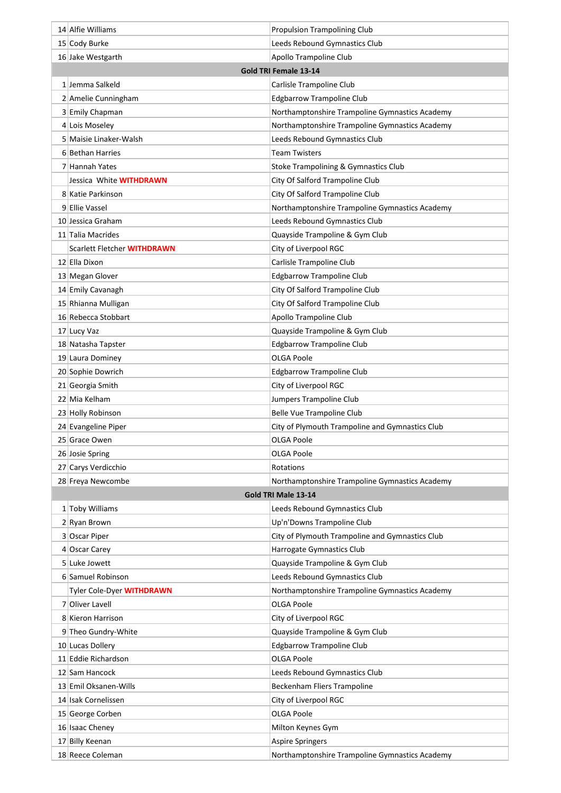| 14 Alfie Williams           | <b>Propulsion Trampolining Club</b>             |
|-----------------------------|-------------------------------------------------|
| 15 Cody Burke               | Leeds Rebound Gymnastics Club                   |
| 16 Jake Westgarth           | Apollo Trampoline Club                          |
|                             | Gold TRI Female 13-14                           |
| 1 Jemma Salkeld             | Carlisle Trampoline Club                        |
| 2 Amelie Cunningham         | <b>Edgbarrow Trampoline Club</b>                |
| 3 Emily Chapman             | Northamptonshire Trampoline Gymnastics Academy  |
| 4 Lois Moseley              | Northamptonshire Trampoline Gymnastics Academy  |
| 5 Maisie Linaker-Walsh      | Leeds Rebound Gymnastics Club                   |
| 6 Bethan Harries            | <b>Team Twisters</b>                            |
| 7 Hannah Yates              | Stoke Trampolining & Gymnastics Club            |
| Jessica White WITHDRAWN     | City Of Salford Trampoline Club                 |
| 8 Katie Parkinson           | City Of Salford Trampoline Club                 |
| 9 Ellie Vassel              | Northamptonshire Trampoline Gymnastics Academy  |
| 10 Jessica Graham           | Leeds Rebound Gymnastics Club                   |
| 11 Talia Macrides           | Quayside Trampoline & Gym Club                  |
| Scarlett Fletcher WITHDRAWN | City of Liverpool RGC                           |
| 12 Ella Dixon               | Carlisle Trampoline Club                        |
| 13 Megan Glover             | <b>Edgbarrow Trampoline Club</b>                |
| 14 Emily Cavanagh           | City Of Salford Trampoline Club                 |
| 15 Rhianna Mulligan         | City Of Salford Trampoline Club                 |
| 16 Rebecca Stobbart         | Apollo Trampoline Club                          |
| 17 Lucy Vaz                 | Quayside Trampoline & Gym Club                  |
| 18 Natasha Tapster          | <b>Edgbarrow Trampoline Club</b>                |
| 19 Laura Dominey            | OLGA Poole                                      |
| 20 Sophie Dowrich           | <b>Edgbarrow Trampoline Club</b>                |
| 21 Georgia Smith            | City of Liverpool RGC                           |
| 22 Mia Kelham               | Jumpers Trampoline Club                         |
| 23 Holly Robinson           | Belle Vue Trampoline Club                       |
| 24 Evangeline Piper         | City of Plymouth Trampoline and Gymnastics Club |
| 25 Grace Owen               | OLGA Poole                                      |
| 26 Josie Spring             | <b>OLGA Poole</b>                               |
| 27 Carys Verdicchio         | Rotations                                       |
| 28 Freya Newcombe           | Northamptonshire Trampoline Gymnastics Academy  |
|                             | Gold TRI Male 13-14                             |
| 1 Toby Williams             | Leeds Rebound Gymnastics Club                   |
| 2 Ryan Brown                | Up'n'Downs Trampoline Club                      |
| 3 Oscar Piper               | City of Plymouth Trampoline and Gymnastics Club |
| 4 Oscar Carey               | Harrogate Gymnastics Club                       |
| 5 Luke Jowett               | Quayside Trampoline & Gym Club                  |
| 6 Samuel Robinson           | Leeds Rebound Gymnastics Club                   |
| Tyler Cole-Dyer WITHDRAWN   | Northamptonshire Trampoline Gymnastics Academy  |
| 7 Oliver Lavell             | <b>OLGA Poole</b>                               |
| 8 Kieron Harrison           | City of Liverpool RGC                           |
| 9 Theo Gundry-White         | Quayside Trampoline & Gym Club                  |
| 10 Lucas Dollery            | <b>Edgbarrow Trampoline Club</b>                |
| 11 Eddie Richardson         | <b>OLGA Poole</b>                               |
| 12 Sam Hancock              | Leeds Rebound Gymnastics Club                   |
| 13 Emil Oksanen-Wills       | Beckenham Fliers Trampoline                     |
| 14 Isak Cornelissen         | City of Liverpool RGC                           |
| 15 George Corben            | <b>OLGA Poole</b>                               |
| 16 Isaac Cheney             | Milton Keynes Gym                               |
| 17 Billy Keenan             | <b>Aspire Springers</b>                         |
| 18 Reece Coleman            | Northamptonshire Trampoline Gymnastics Academy  |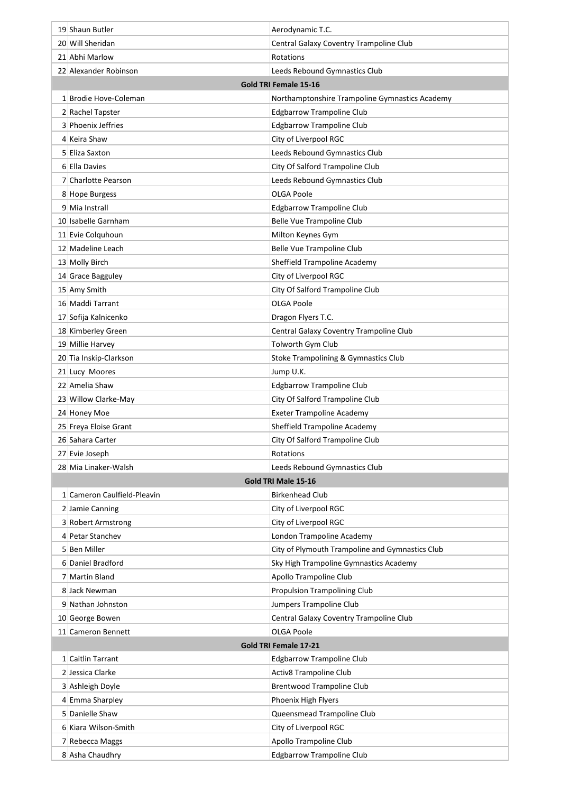| 19 Shaun Butler                     | Aerodynamic T.C.                                                  |
|-------------------------------------|-------------------------------------------------------------------|
| 20 Will Sheridan                    | Central Galaxy Coventry Trampoline Club                           |
| 21 Abhi Marlow                      | Rotations                                                         |
| 22 Alexander Robinson               | Leeds Rebound Gymnastics Club                                     |
|                                     | Gold TRI Female 15-16                                             |
| 1 Brodie Hove-Coleman               | Northamptonshire Trampoline Gymnastics Academy                    |
| 2 Rachel Tapster                    | <b>Edgbarrow Trampoline Club</b>                                  |
| 3 Phoenix Jeffries                  | <b>Edgbarrow Trampoline Club</b>                                  |
| 4 Keira Shaw                        | City of Liverpool RGC                                             |
| 5 Eliza Saxton                      | Leeds Rebound Gymnastics Club                                     |
| 6 Ella Davies                       | City Of Salford Trampoline Club                                   |
| 7 Charlotte Pearson                 | Leeds Rebound Gymnastics Club                                     |
| 8 Hope Burgess                      | <b>OLGA Poole</b>                                                 |
| 9 Mia Instrall                      | <b>Edgbarrow Trampoline Club</b>                                  |
| 10 Isabelle Garnham                 | Belle Vue Trampoline Club                                         |
| 11 Evie Colquhoun                   | Milton Keynes Gym                                                 |
| 12 Madeline Leach                   | <b>Belle Vue Trampoline Club</b>                                  |
| 13 Molly Birch                      | Sheffield Trampoline Academy                                      |
| 14 Grace Bagguley                   | City of Liverpool RGC                                             |
| 15 Amy Smith                        | City Of Salford Trampoline Club                                   |
| 16 Maddi Tarrant                    | <b>OLGA Poole</b>                                                 |
| 17 Sofija Kalnicenko                | Dragon Flyers T.C.                                                |
| 18 Kimberley Green                  | Central Galaxy Coventry Trampoline Club                           |
| 19 Millie Harvey                    | Tolworth Gym Club                                                 |
| 20 Tia Inskip-Clarkson              | Stoke Trampolining & Gymnastics Club                              |
| 21 Lucy Moores                      | Jump U.K.                                                         |
| 22 Amelia Shaw                      | <b>Edgbarrow Trampoline Club</b>                                  |
| 23 Willow Clarke-May                | City Of Salford Trampoline Club                                   |
| 24 Honey Moe                        | <b>Exeter Trampoline Academy</b>                                  |
| 25 Freya Eloise Grant               | Sheffield Trampoline Academy                                      |
| 26 Sahara Carter                    | City Of Salford Trampoline Club                                   |
| 27 Evie Joseph                      | Rotations                                                         |
| 28 Mia Linaker-Walsh                | Leeds Rebound Gymnastics Club                                     |
|                                     | <b>Gold TRI Male 15-16</b>                                        |
| 1 Cameron Caulfield-Pleavin         | <b>Birkenhead Club</b>                                            |
| 2 Jamie Canning                     | City of Liverpool RGC                                             |
| 3 Robert Armstrong                  | City of Liverpool RGC                                             |
| 4 Petar Stanchev                    | London Trampoline Academy                                         |
| 5 Ben Miller                        | City of Plymouth Trampoline and Gymnastics Club                   |
| 6 Daniel Bradford                   | Sky High Trampoline Gymnastics Academy                            |
| 7 Martin Bland                      | Apollo Trampoline Club                                            |
| 8 Jack Newman                       | <b>Propulsion Trampolining Club</b>                               |
| 9 Nathan Johnston                   | Jumpers Trampoline Club                                           |
| 10 George Bowen                     | Central Galaxy Coventry Trampoline Club                           |
| 11 Cameron Bennett                  | <b>OLGA Poole</b>                                                 |
| 1 Caitlin Tarrant                   | Gold TRI Female 17-21                                             |
| 2 Jessica Clarke                    | <b>Edgbarrow Trampoline Club</b>                                  |
|                                     | <b>Activ8 Trampoline Club</b><br><b>Brentwood Trampoline Club</b> |
| 3 Ashleigh Doyle<br>4 Emma Sharpley | Phoenix High Flyers                                               |
| 5 Danielle Shaw                     | Queensmead Trampoline Club                                        |
| 6 Kiara Wilson-Smith                | City of Liverpool RGC                                             |
| 7 Rebecca Maggs                     | Apollo Trampoline Club                                            |
| 8 Asha Chaudhry                     | <b>Edgbarrow Trampoline Club</b>                                  |
|                                     |                                                                   |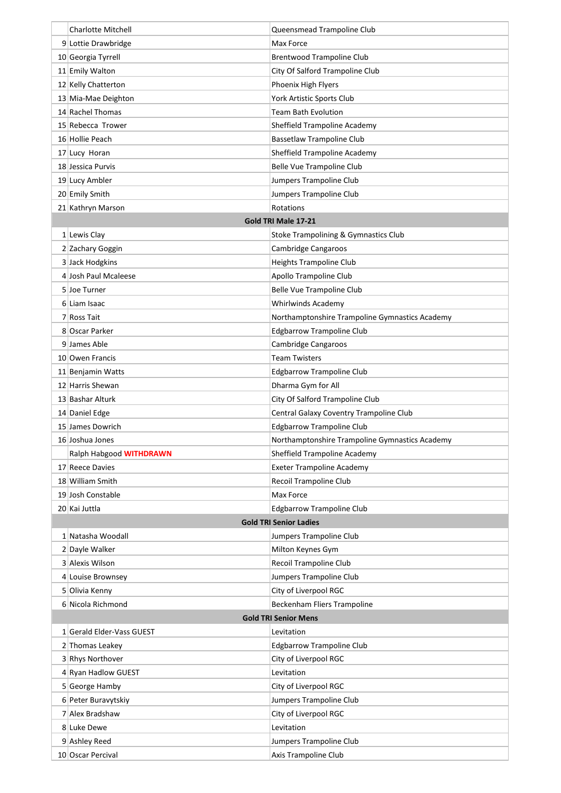| <b>Charlotte Mitchell</b>     | Queensmead Trampoline Club                     |  |  |
|-------------------------------|------------------------------------------------|--|--|
| 9 Lottie Drawbridge           | Max Force                                      |  |  |
| 10 Georgia Tyrrell            | <b>Brentwood Trampoline Club</b>               |  |  |
| 11 Emily Walton               | City Of Salford Trampoline Club                |  |  |
| 12 Kelly Chatterton           | Phoenix High Flyers                            |  |  |
| 13 Mia-Mae Deighton           | York Artistic Sports Club                      |  |  |
| 14 Rachel Thomas              | Team Bath Evolution                            |  |  |
| 15 Rebecca Trower             | Sheffield Trampoline Academy                   |  |  |
| 16 Hollie Peach               | <b>Bassetlaw Trampoline Club</b>               |  |  |
| 17 Lucy Horan                 | Sheffield Trampoline Academy                   |  |  |
| 18 Jessica Purvis             | <b>Belle Vue Trampoline Club</b>               |  |  |
| 19 Lucy Ambler                | Jumpers Trampoline Club                        |  |  |
| 20 Emily Smith                | Jumpers Trampoline Club                        |  |  |
| 21 Kathryn Marson             | Rotations                                      |  |  |
|                               | Gold TRI Male 17-21                            |  |  |
| $1$ Lewis Clay                | Stoke Trampolining & Gymnastics Club           |  |  |
| 2 Zachary Goggin              | Cambridge Cangaroos                            |  |  |
| 3 Jack Hodgkins               | <b>Heights Trampoline Club</b>                 |  |  |
| 4 Josh Paul Mcaleese          |                                                |  |  |
|                               | Apollo Trampoline Club                         |  |  |
| 5 Joe Turner                  | Belle Vue Trampoline Club                      |  |  |
| 6 Liam Isaac                  | Whirlwinds Academy                             |  |  |
| 7 Ross Tait                   | Northamptonshire Trampoline Gymnastics Academy |  |  |
| 8 Oscar Parker                | <b>Edgbarrow Trampoline Club</b>               |  |  |
| 9 James Able                  | Cambridge Cangaroos                            |  |  |
| 10 Owen Francis               | <b>Team Twisters</b>                           |  |  |
| 11 Benjamin Watts             | <b>Edgbarrow Trampoline Club</b>               |  |  |
| 12 Harris Shewan              | Dharma Gym for All                             |  |  |
| 13 Bashar Alturk              | City Of Salford Trampoline Club                |  |  |
| 14 Daniel Edge                | Central Galaxy Coventry Trampoline Club        |  |  |
| 15 James Dowrich              | <b>Edgbarrow Trampoline Club</b>               |  |  |
| 16 Joshua Jones               | Northamptonshire Trampoline Gymnastics Academy |  |  |
| Ralph Habgood WITHDRAWN       | Sheffield Trampoline Academy                   |  |  |
| 17 Reece Davies               | <b>Exeter Trampoline Academy</b>               |  |  |
| 18 William Smith              | Recoil Trampoline Club                         |  |  |
| 19 Josh Constable             | Max Force                                      |  |  |
| 20 Kai Juttla                 | <b>Edgbarrow Trampoline Club</b>               |  |  |
| <b>Gold TRI Senior Ladies</b> |                                                |  |  |
| 1 Natasha Woodall             | Jumpers Trampoline Club                        |  |  |
| 2 Dayle Walker                | Milton Keynes Gym                              |  |  |
| 3 Alexis Wilson               | Recoil Trampoline Club                         |  |  |
| 4 Louise Brownsey             | Jumpers Trampoline Club                        |  |  |
| 5 Olivia Kenny                | City of Liverpool RGC                          |  |  |
| 6 Nicola Richmond             | Beckenham Fliers Trampoline                    |  |  |
| <b>Gold TRI Senior Mens</b>   |                                                |  |  |
| 1 Gerald Elder-Vass GUEST     | Levitation                                     |  |  |
| 2 Thomas Leakey               | <b>Edgbarrow Trampoline Club</b>               |  |  |
| 3 Rhys Northover              | City of Liverpool RGC                          |  |  |
| 4 Ryan Hadlow GUEST           | Levitation                                     |  |  |
| 5 George Hamby                | City of Liverpool RGC                          |  |  |
| 6 Peter Buravytskiy           | Jumpers Trampoline Club                        |  |  |
| 7 Alex Bradshaw               | City of Liverpool RGC                          |  |  |
| 8 Luke Dewe                   | Levitation                                     |  |  |
| 9 Ashley Reed                 | Jumpers Trampoline Club                        |  |  |
| 10 Oscar Percival             | Axis Trampoline Club                           |  |  |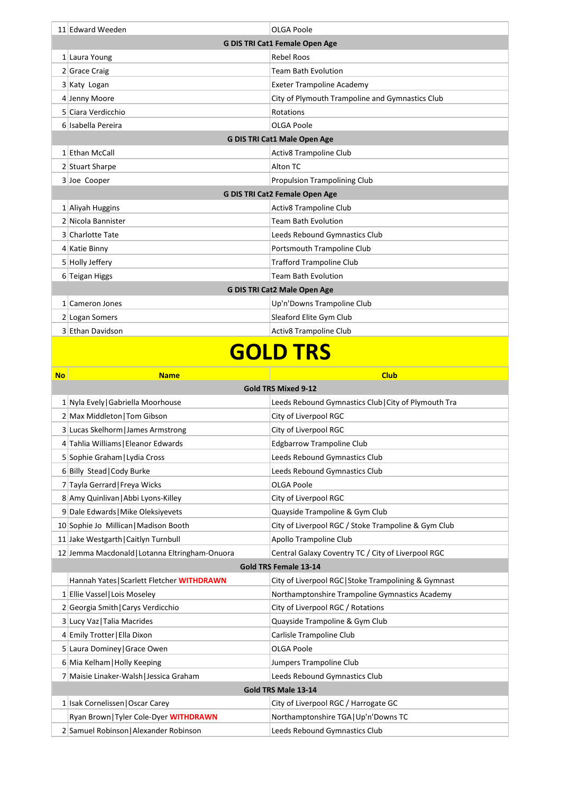| 11 Edward Weeden                      | OLGA Poole                                      |  |
|---------------------------------------|-------------------------------------------------|--|
| <b>G DIS TRI Cat1 Female Open Age</b> |                                                 |  |
| 1 Laura Young                         | <b>Rebel Roos</b>                               |  |
| 2 Grace Craig                         | <b>Team Bath Evolution</b>                      |  |
| 3 Katy Logan                          | <b>Exeter Trampoline Academy</b>                |  |
| 4 Jenny Moore                         | City of Plymouth Trampoline and Gymnastics Club |  |
| 5 Ciara Verdicchio                    | Rotations                                       |  |
| 6 Isabella Pereira                    | <b>OLGA Poole</b>                               |  |
| G DIS TRI Cat1 Male Open Age          |                                                 |  |
| 1 Ethan McCall                        | <b>Activ8 Trampoline Club</b>                   |  |
| 2 Stuart Sharpe                       | Alton TC                                        |  |
| 3 Joe Cooper                          | <b>Propulsion Trampolining Club</b>             |  |
| G DIS TRI Cat2 Female Open Age        |                                                 |  |
| 1 Aliyah Huggins                      | <b>Activ8 Trampoline Club</b>                   |  |
| 2 Nicola Bannister                    | <b>Team Bath Evolution</b>                      |  |
| 3 Charlotte Tate                      | Leeds Rebound Gymnastics Club                   |  |
| 4 Katie Binny                         | Portsmouth Trampoline Club                      |  |
| 5 Holly Jeffery                       | <b>Trafford Trampoline Club</b>                 |  |
| 6 Teigan Higgs                        | <b>Team Bath Evolution</b>                      |  |
| <b>G DIS TRI Cat2 Male Open Age</b>   |                                                 |  |
| 1 Cameron Jones                       | Up'n'Downs Trampoline Club                      |  |
| 2 Logan Somers                        | Sleaford Elite Gym Club                         |  |
| 3 Ethan Davidson                      | <b>Activ8 Trampoline Club</b>                   |  |
|                                       |                                                 |  |

#### **GOLD TRS**

| <b>No</b>                    | <b>Name</b>                                    | <b>Club</b>                                          |  |  |
|------------------------------|------------------------------------------------|------------------------------------------------------|--|--|
|                              | <b>Gold TRS Mixed 9-12</b>                     |                                                      |  |  |
|                              | 1 Nyla Evely Gabriella Moorhouse               | Leeds Rebound Gymnastics Club   City of Plymouth Tra |  |  |
|                              | 2 Max Middleton   Tom Gibson                   | City of Liverpool RGC                                |  |  |
|                              | 3 Lucas Skelhorm   James Armstrong             | City of Liverpool RGC                                |  |  |
|                              | 4 Tahlia Williams   Eleanor Edwards            | <b>Edgbarrow Trampoline Club</b>                     |  |  |
|                              | 5 Sophie Graham   Lydia Cross                  | Leeds Rebound Gymnastics Club                        |  |  |
|                              | 6 Billy Stead   Cody Burke                     | Leeds Rebound Gymnastics Club                        |  |  |
|                              | 7 Tayla Gerrard   Freya Wicks                  | <b>OLGA Poole</b>                                    |  |  |
|                              | 8 Amy Quinlivan   Abbi Lyons-Killey            | City of Liverpool RGC                                |  |  |
|                              | 9 Dale Edwards   Mike Oleksiyevets             | Quayside Trampoline & Gym Club                       |  |  |
|                              | 10 Sophie Jo Millican   Madison Booth          | City of Liverpool RGC / Stoke Trampoline & Gym Club  |  |  |
|                              | 11 Jake Westgarth   Caitlyn Turnbull           | Apollo Trampoline Club                               |  |  |
|                              | 12 Jemma Macdonald   Lotanna Eltringham-Onuora | Central Galaxy Coventry TC / City of Liverpool RGC   |  |  |
| <b>Gold TRS Female 13-14</b> |                                                |                                                      |  |  |
|                              | Hannah Yates   Scarlett Fletcher WITHDRAWN     | City of Liverpool RGC Stoke Trampolining & Gymnast   |  |  |
|                              | 1 Ellie Vassel   Lois Moseley                  | Northamptonshire Trampoline Gymnastics Academy       |  |  |
|                              | 2 Georgia Smith   Carys Verdicchio             | City of Liverpool RGC / Rotations                    |  |  |
|                              | 3 Lucy Vaz   Talia Macrides                    | Quayside Trampoline & Gym Club                       |  |  |
|                              | 4 Emily Trotter   Ella Dixon                   | Carlisle Trampoline Club                             |  |  |
|                              | 5 Laura Dominey Grace Owen                     | <b>OLGA Poole</b>                                    |  |  |
|                              | 6 Mia Kelham   Holly Keeping                   | Jumpers Trampoline Club                              |  |  |
|                              | 7 Maisie Linaker-Walsh   Jessica Graham        | Leeds Rebound Gymnastics Club                        |  |  |
| Gold TRS Male 13-14          |                                                |                                                      |  |  |
|                              | 1 Isak Cornelissen   Oscar Carey               | City of Liverpool RGC / Harrogate GC                 |  |  |
|                              | Ryan Brown   Tyler Cole-Dyer WITHDRAWN         | Northamptonshire TGA   Up'n'Downs TC                 |  |  |
|                              | 2 Samuel Robinson   Alexander Robinson         | Leeds Rebound Gymnastics Club                        |  |  |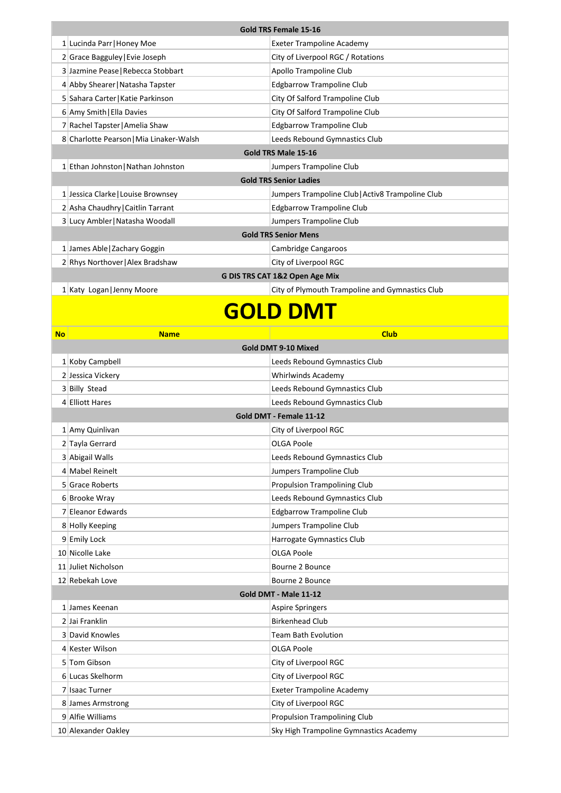| <b>Gold TRS Female 15-16</b>   |                                         |                                                  |
|--------------------------------|-----------------------------------------|--------------------------------------------------|
|                                | 1 Lucinda Parr   Honey Moe              | <b>Exeter Trampoline Academy</b>                 |
|                                | 2 Grace Bagguley Evie Joseph            | City of Liverpool RGC / Rotations                |
|                                | 3 Jazmine Pease   Rebecca Stobbart      | Apollo Trampoline Club                           |
|                                | 4 Abby Shearer   Natasha Tapster        | <b>Edgbarrow Trampoline Club</b>                 |
|                                | 5 Sahara Carter   Katie Parkinson       | City Of Salford Trampoline Club                  |
|                                | 6 Amy Smith   Ella Davies               | City Of Salford Trampoline Club                  |
|                                | 7 Rachel Tapster   Amelia Shaw          | <b>Edgbarrow Trampoline Club</b>                 |
|                                | 8 Charlotte Pearson   Mia Linaker-Walsh | Leeds Rebound Gymnastics Club                    |
| Gold TRS Male 15-16            |                                         |                                                  |
|                                | 1 Ethan Johnston   Nathan Johnston      | Jumpers Trampoline Club                          |
| <b>Gold TRS Senior Ladies</b>  |                                         |                                                  |
|                                | 1 Jessica Clarke   Louise Brownsey      | Jumpers Trampoline Club   Activ8 Trampoline Club |
|                                | 2 Asha Chaudhry   Caitlin Tarrant       | <b>Edgbarrow Trampoline Club</b>                 |
|                                | 3 Lucy Ambler   Natasha Woodall         | Jumpers Trampoline Club                          |
| <b>Gold TRS Senior Mens</b>    |                                         |                                                  |
|                                | 1 James Able   Zachary Goggin           | Cambridge Cangaroos                              |
|                                | 2 Rhys Northover   Alex Bradshaw        | City of Liverpool RGC                            |
| G DIS TRS CAT 1&2 Open Age Mix |                                         |                                                  |
|                                | 1 Katy Logan   Jenny Moore              | City of Plymouth Trampoline and Gymnastics Club  |

### **GOLD DMT**

| <b>No</b> | <b>Name</b>           | <b>Club</b>                            |  |  |
|-----------|-----------------------|----------------------------------------|--|--|
|           |                       | Gold DMT 9-10 Mixed                    |  |  |
|           | 1 Koby Campbell       | Leeds Rebound Gymnastics Club          |  |  |
|           | 2 Jessica Vickery     | <b>Whirlwinds Academy</b>              |  |  |
|           | 3 Billy Stead         | Leeds Rebound Gymnastics Club          |  |  |
|           | 4 Elliott Hares       | Leeds Rebound Gymnastics Club          |  |  |
|           |                       | Gold DMT - Female 11-12                |  |  |
|           | 1 Amy Quinlivan       | City of Liverpool RGC                  |  |  |
|           | 2 Tayla Gerrard       | OLGA Poole                             |  |  |
|           | 3 Abigail Walls       | Leeds Rebound Gymnastics Club          |  |  |
|           | 4 Mabel Reinelt       | Jumpers Trampoline Club                |  |  |
|           | 5 Grace Roberts       | <b>Propulsion Trampolining Club</b>    |  |  |
|           | 6 Brooke Wray         | Leeds Rebound Gymnastics Club          |  |  |
|           | 7 Eleanor Edwards     | <b>Edgbarrow Trampoline Club</b>       |  |  |
|           | 8 Holly Keeping       | Jumpers Trampoline Club                |  |  |
|           | 9 Emily Lock          | Harrogate Gymnastics Club              |  |  |
|           | 10 Nicolle Lake       | <b>OLGA Poole</b>                      |  |  |
|           | 11 Juliet Nicholson   | Bourne 2 Bounce                        |  |  |
|           | 12 Rebekah Love       | Bourne 2 Bounce                        |  |  |
|           | Gold DMT - Male 11-12 |                                        |  |  |
|           | 1 James Keenan        | <b>Aspire Springers</b>                |  |  |
|           | 2 Jai Franklin        | <b>Birkenhead Club</b>                 |  |  |
|           | 3 David Knowles       | <b>Team Bath Evolution</b>             |  |  |
|           | 4 Kester Wilson       | <b>OLGA Poole</b>                      |  |  |
|           | 5 Tom Gibson          | City of Liverpool RGC                  |  |  |
|           | 6 Lucas Skelhorm      | City of Liverpool RGC                  |  |  |
|           | 7 Isaac Turner        | <b>Exeter Trampoline Academy</b>       |  |  |
|           | 8 James Armstrong     | City of Liverpool RGC                  |  |  |
|           | 9 Alfie Williams      | <b>Propulsion Trampolining Club</b>    |  |  |
|           | 10 Alexander Oakley   | Sky High Trampoline Gymnastics Academy |  |  |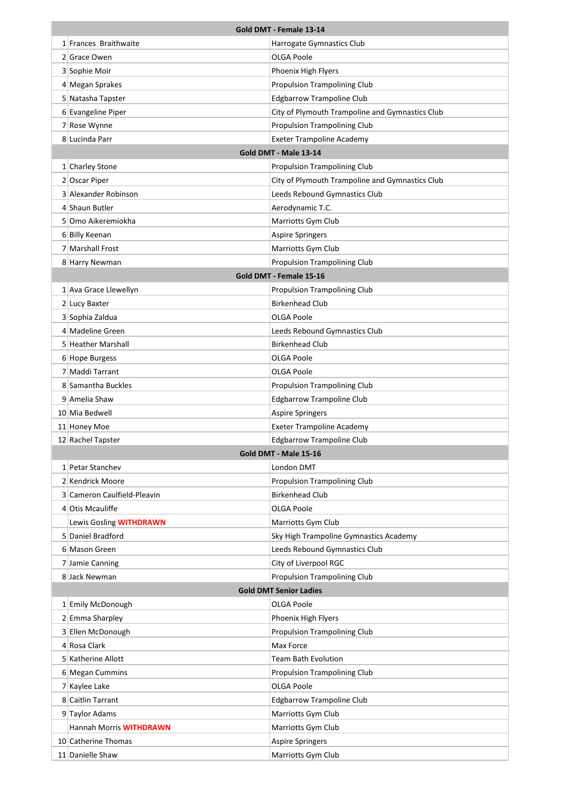| Gold DMT - Female 13-14                               |                                           |                                                 |
|-------------------------------------------------------|-------------------------------------------|-------------------------------------------------|
|                                                       | 1 Frances Braithwaite                     | Harrogate Gymnastics Club                       |
|                                                       | 2 Grace Owen                              | OLGA Poole                                      |
|                                                       | 3 Sophie Moir                             | Phoenix High Flyers                             |
|                                                       | 4 Megan Sprakes                           | <b>Propulsion Trampolining Club</b>             |
|                                                       | 5 Natasha Tapster                         | <b>Edgbarrow Trampoline Club</b>                |
|                                                       | 6 Evangeline Piper                        | City of Plymouth Trampoline and Gymnastics Club |
|                                                       | 7 Rose Wynne                              | <b>Propulsion Trampolining Club</b>             |
|                                                       | 8 Lucinda Parr                            | <b>Exeter Trampoline Academy</b>                |
|                                                       |                                           | Gold DMT - Male 13-14                           |
|                                                       | 1 Charley Stone                           | <b>Propulsion Trampolining Club</b>             |
|                                                       | 2 Oscar Piper                             | City of Plymouth Trampoline and Gymnastics Club |
|                                                       | 3 Alexander Robinson                      | Leeds Rebound Gymnastics Club                   |
|                                                       | 4 Shaun Butler                            | Aerodynamic T.C.                                |
|                                                       | 5 Omo Aikeremiokha                        | Marriotts Gym Club                              |
|                                                       | 6 Billy Keenan                            | <b>Aspire Springers</b>                         |
|                                                       | 7 Marshall Frost                          | Marriotts Gym Club                              |
|                                                       | 8 Harry Newman                            | Propulsion Trampolining Club                    |
|                                                       |                                           | Gold DMT - Female 15-16                         |
|                                                       | 1 Ava Grace Llewellyn                     | Propulsion Trampolining Club                    |
|                                                       | 2 Lucy Baxter                             | <b>Birkenhead Club</b>                          |
|                                                       | 3 Sophia Zaldua                           | OLGA Poole                                      |
|                                                       | 4 Madeline Green                          | Leeds Rebound Gymnastics Club                   |
|                                                       | 5 Heather Marshall                        | <b>Birkenhead Club</b>                          |
|                                                       | 6 Hope Burgess                            | OLGA Poole                                      |
|                                                       | 7 Maddi Tarrant                           | OLGA Poole                                      |
|                                                       | 8 Samantha Buckles                        | <b>Propulsion Trampolining Club</b>             |
|                                                       | 9 Amelia Shaw                             | <b>Edgbarrow Trampoline Club</b>                |
|                                                       | 10 Mia Bedwell                            | <b>Aspire Springers</b>                         |
|                                                       | 11 Honey Moe                              | <b>Exeter Trampoline Academy</b>                |
| <b>Edgbarrow Trampoline Club</b><br>12 Rachel Tapster |                                           |                                                 |
|                                                       |                                           | Gold DMT - Male 15-16                           |
|                                                       | 1 Petar Stanchev                          | London DMT                                      |
|                                                       | 2 Kendrick Moore                          | <b>Propulsion Trampolining Club</b>             |
|                                                       | 3 Cameron Caulfield-Pleavin               | <b>Birkenhead Club</b>                          |
|                                                       | 4 Otis Mcauliffe                          | OLGA Poole                                      |
|                                                       | Lewis Gosling WITHDRAWN                   | Marriotts Gym Club                              |
|                                                       | 5 Daniel Bradford                         | Sky High Trampoline Gymnastics Academy          |
|                                                       | 6 Mason Green                             | Leeds Rebound Gymnastics Club                   |
|                                                       | 7 Jamie Canning                           | City of Liverpool RGC                           |
|                                                       | 8 Jack Newman                             | Propulsion Trampolining Club                    |
|                                                       |                                           | <b>Gold DMT Senior Ladies</b>                   |
|                                                       | 1 Emily McDonough                         | OLGA Poole                                      |
|                                                       | 2 Emma Sharpley                           | Phoenix High Flyers                             |
|                                                       | 3 Ellen McDonough                         | Propulsion Trampolining Club                    |
|                                                       | 4 Rosa Clark                              | Max Force                                       |
|                                                       | 5 Katherine Allott                        | Team Bath Evolution                             |
|                                                       | 6 Megan Cummins                           | Propulsion Trampolining Club<br>OLGA Poole      |
|                                                       | 7 Kaylee Lake<br>8 Caitlin Tarrant        | <b>Edgbarrow Trampoline Club</b>                |
|                                                       |                                           | Marriotts Gym Club                              |
|                                                       | 9 Taylor Adams<br>Hannah Morris WITHDRAWN | Marriotts Gym Club                              |
|                                                       | 10 Catherine Thomas                       | <b>Aspire Springers</b>                         |
|                                                       | 11 Danielle Shaw                          | Marriotts Gym Club                              |